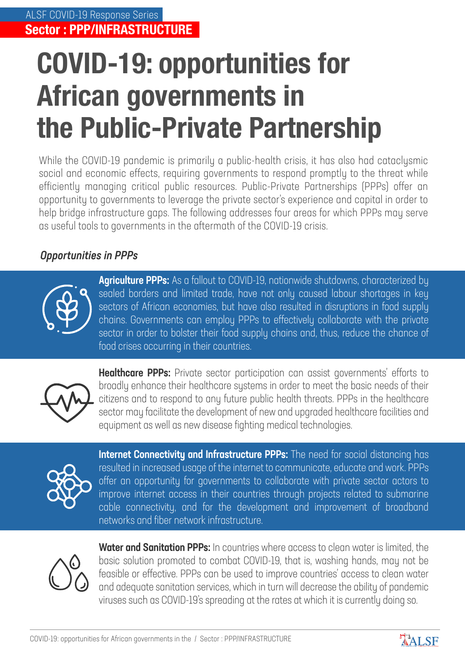## **COVID-19: opportunities for African governments in the Public-Private Partnership**

While the COVID-19 pandemic is primarily a public-health crisis, it has also had cataclysmic social and economic effects, requiring governments to respond promptly to the threat while efficiently managing critical public resources. Public-Private Partnerships (PPPs) offer an opportunity to governments to leverage the private sector's experience and capital in order to help bridge infrastructure gaps. The following addresses four areas for which PPPs may serve as useful tools to governments in the aftermath of the COVID-19 crisis.

## Opportunities in PPPs



Agriculture PPPs: As a fallout to COVID-19, nationwide shutdowns, characterized by sealed borders and limited trade, have not only caused labour shortages in key sectors of African economies, but have also resulted in disruptions in food supply chains. Governments can employ PPPs to effectively collaborate with the private sector in order to bolster their food supply chains and, thus, reduce the chance of food crises occurring in their countries.



**Healthcare PPPs:** Private sector participation can assist governments' efforts to broadly enhance their healthcare systems in order to meet the basic needs of their citizens and to respond to any future public health threats. PPPs in the healthcare sector may facilitate the development of new and upgraded healthcare facilities and equipment as well as new disease fighting medical technologies.



Internet Connectivity and Infrastructure PPPs: The need for social distancing has resulted in increased usage of the internet to communicate, educate and work. PPPs offer an opportunity for governments to collaborate with private sector actors to improve internet access in their countries through projects related to submarine cable connectivity, and for the development and improvement of broadband networks and fiber network infrastructure.



**Water and Sanitation PPPs:** In countries where access to clean water is limited, the basic solution promoted to combat COVID-19, that is, washing hands, may not be feasible or effective. PPPs can be used to improve countries' access to clean water and adequate sanitation services, which in turn will decrease the ability of pandemic viruses such as COVID-19's spreading at the rates at which it is currently doing so.